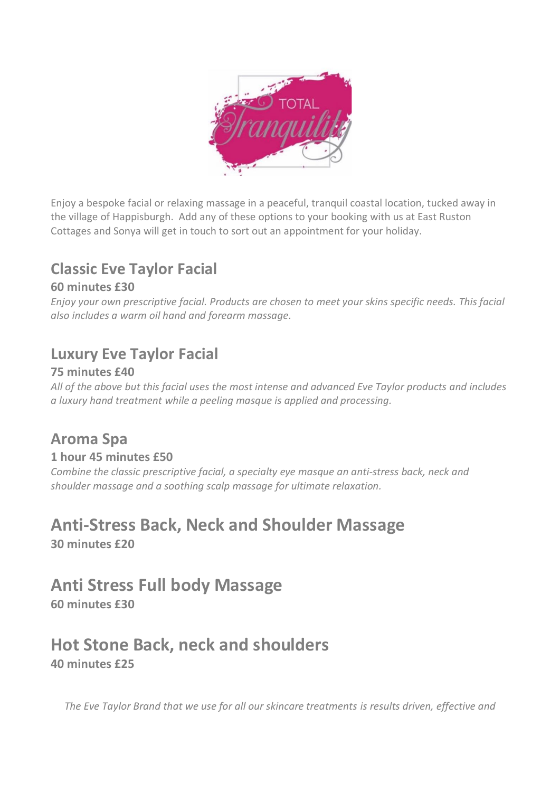

Enjoy a bespoke facial or relaxing massage in a peaceful, tranquil coastal location, tucked away in the village of Happisburgh. Add any of these options to your booking with us at East Ruston Cottages and Sonya will get in touch to sort out an appointment for your holiday.

# **Classic Eve Taylor Facial**

#### **60 minutes £30**

*Enjoy your own prescriptive facial. Products are chosen to meet your skins specific needs. This facial also includes a warm oil hand and forearm massage.* 

## **Luxury Eve Taylor Facial**

### **75 minutes £40**

*All of the above but this facial uses the most intense and advanced Eve Taylor products and includes a luxury hand treatment while a peeling masque is applied and processing.*

### **Aroma Spa**

### **1 hour 45 minutes £50**

*Combine the classic prescriptive facial, a specialty eye masque an anti-stress back, neck and shoulder massage and a soothing scalp massage for ultimate relaxation.*

# **Anti-Stress Back, Neck and Shoulder Massage**

**30 minutes £20**

# **Anti Stress Full body Massage**

**60 minutes £30**

### **Hot Stone Back, neck and shoulders 40 minutes £25**

*The Eve Taylor Brand that we use for all our skincare treatments is results driven, effective and*